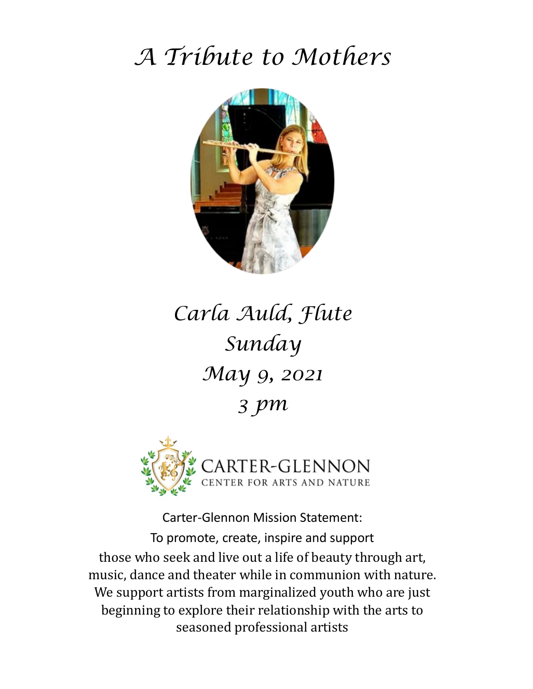# *A Tribute to Mothers*



# *Carla Auld, Flute Sunday May 9, 2021 3 pm*



Carter-Glennon Mission Statement: To promote, create, inspire and support those who seek and live out a life of beauty through art, music, dance and theater while in communion with nature. We support artists from marginalized youth who are just beginning to explore their relationship with the arts to seasoned professional artists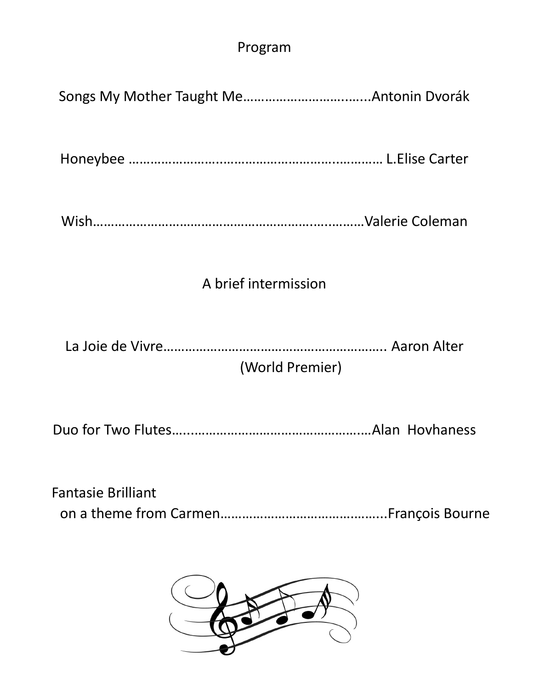### Program

Honeybee ……………………..…………………………..………… L.Elise Carter

|--|--|

## A brief intermission

La Joie de Vivre…………………………………………………….. Aaron Alter

# (World Premier)

|--|--|--|

| <b>Fantasie Brilliant</b> |  |
|---------------------------|--|
|                           |  |

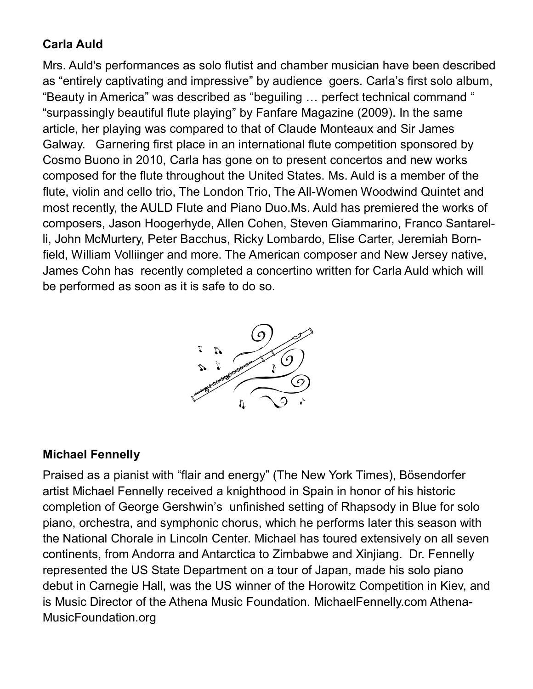### **Carla Auld**

Mrs. Auld's performances as solo flutist and chamber musician have been described as "entirely captivating and impressive" by audience goers. Carla's first solo album, "Beauty in America" was described as "beguiling … perfect technical command " "surpassingly beautiful flute playing" by Fanfare Magazine (2009). In the same article, her playing was compared to that of Claude Monteaux and Sir James Galway. Garnering first place in an international flute competition sponsored by Cosmo Buono in 2010, Carla has gone on to present concertos and new works composed for the flute throughout the United States. Ms. Auld is a member of the flute, violin and cello trio, The London Trio, The All-Women Woodwind Quintet and most recently, the AULD Flute and Piano Duo.Ms. Auld has premiered the works of composers, Jason Hoogerhyde, Allen Cohen, Steven Giammarino, Franco Santarelli, John McMurtery, Peter Bacchus, Ricky Lombardo, Elise Carter, Jeremiah Bornfield, William Volliinger and more. The American composer and New Jersey native, James Cohn has recently completed a concertino written for Carla Auld which will be performed as soon as it is safe to do so.



#### **Michael Fennelly**

Praised as a pianist with "flair and energy" (The New York Times), Bösendorfer artist Michael Fennelly received a knighthood in Spain in honor of his historic completion of George Gershwin's unfinished setting of Rhapsody in Blue for solo piano, orchestra, and symphonic chorus, which he performs later this season with the National Chorale in Lincoln Center. Michael has toured extensively on all seven continents, from Andorra and Antarctica to Zimbabwe and Xinjiang. Dr. Fennelly represented the US State Department on a tour of Japan, made his solo piano debut in Carnegie Hall, was the US winner of the Horowitz Competition in Kiev, and is Music Director of the Athena Music Foundation. MichaelFennelly.com Athena-MusicFoundation.org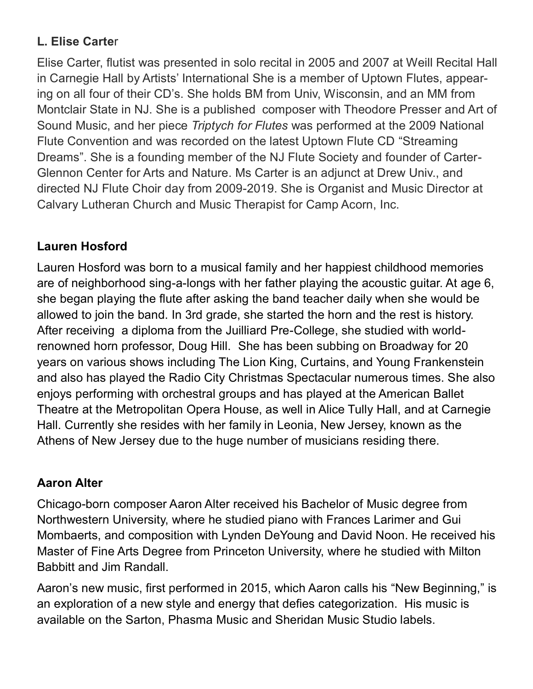#### **L. Elise Carte**r

Elise Carter, flutist was presented in solo recital in 2005 and 2007 at Weill Recital Hall in Carnegie Hall by Artists' International She is a member of Uptown Flutes, appearing on all four of their CD's. She holds BM from Univ, Wisconsin, and an MM from Montclair State in NJ. She is a published composer with Theodore Presser and Art of Sound Music, and her piece *Triptych for Flutes* was performed at the 2009 National Flute Convention and was recorded on the latest Uptown Flute CD "Streaming Dreams". She is a founding member of the NJ Flute Society and founder of Carter-Glennon Center for Arts and Nature. Ms Carter is an adjunct at Drew Univ., and directed NJ Flute Choir day from 2009-2019. She is Organist and Music Director at Calvary Lutheran Church and Music Therapist for Camp Acorn, Inc.

#### **Lauren Hosford**

Lauren Hosford was born to a musical family and her happiest childhood memories are of neighborhood sing-a-longs with her father playing the acoustic guitar. At age 6, she began playing the flute after asking the band teacher daily when she would be allowed to join the band. In 3rd grade, she started the horn and the rest is history. After receiving a diploma from the Juilliard Pre-College, she studied with worldrenowned horn professor, Doug Hill. She has been subbing on Broadway for 20 years on various shows including The Lion King, Curtains, and Young Frankenstein and also has played the Radio City Christmas Spectacular numerous times. She also enjoys performing with orchestral groups and has played at the American Ballet Theatre at the Metropolitan Opera House, as well in Alice Tully Hall, and at Carnegie Hall. Currently she resides with her family in Leonia, New Jersey, known as the Athens of New Jersey due to the huge number of musicians residing there.

#### **Aaron Alter**

Chicago-born composer Aaron Alter received his Bachelor of Music degree from Northwestern University, where he studied piano with Frances Larimer and Gui Mombaerts, and composition with Lynden DeYoung and David Noon. He received his Master of Fine Arts Degree from Princeton University, where he studied with Milton Babbitt and Jim Randall.

Aaron's new music, first performed in 2015, which Aaron calls his "New Beginning," is an exploration of a new style and energy that defies categorization. His music is available on the Sarton, Phasma Music and Sheridan Music Studio labels.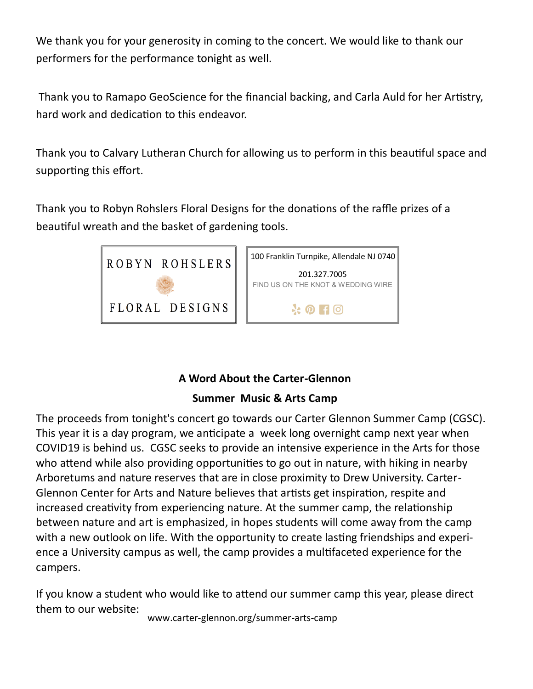We thank you for your generosity in coming to the concert. We would like to thank our performers for the performance tonight as well.

Thank you to Ramapo GeoScience for the financial backing, and Carla Auld for her Artistry, hard work and dedication to this endeavor.

Thank you to Calvary Lutheran Church for allowing us to perform in this beautiful space and supporting this effort.

Thank you to Robyn Rohslers Floral Designs for the donations of the raffle prizes of a beautiful wreath and the basket of gardening tools.





#### **A Word About the Carter-Glennon**

#### **Summer Music & Arts Camp**

The proceeds from tonight's concert go towards our Carter Glennon Summer Camp (CGSC). This year it is a day program, we anticipate a week long overnight camp next year when COVID19 is behind us. CGSC seeks to provide an intensive experience in the Arts for those who attend while also providing opportunities to go out in nature, with hiking in nearby Arboretums and nature reserves that are in close proximity to Drew University. Carter-Glennon Center for Arts and Nature believes that artists get inspiration, respite and increased creativity from experiencing nature. At the summer camp, the relationship between nature and art is emphasized, in hopes students will come away from the camp with a new outlook on life. With the opportunity to create lasting friendships and experience a University campus as well, the camp provides a multifaceted experience for the campers.

If you know a student who would like to attend our summer camp this year, please direct them to our website:

www.carter-glennon.org/summer-arts-camp